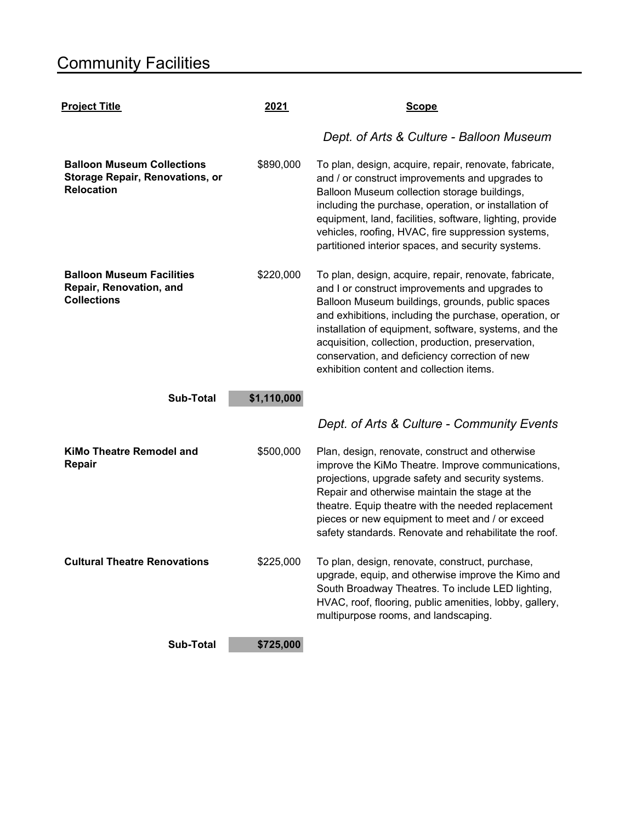| <b>Project Title</b>                                                                             | 2021        | <b>Scope</b>                                                                                                                                                                                                                                                                                                                                                                                                                         |
|--------------------------------------------------------------------------------------------------|-------------|--------------------------------------------------------------------------------------------------------------------------------------------------------------------------------------------------------------------------------------------------------------------------------------------------------------------------------------------------------------------------------------------------------------------------------------|
|                                                                                                  |             | Dept. of Arts & Culture - Balloon Museum                                                                                                                                                                                                                                                                                                                                                                                             |
| <b>Balloon Museum Collections</b><br><b>Storage Repair, Renovations, or</b><br><b>Relocation</b> | \$890,000   | To plan, design, acquire, repair, renovate, fabricate,<br>and / or construct improvements and upgrades to<br>Balloon Museum collection storage buildings,<br>including the purchase, operation, or installation of<br>equipment, land, facilities, software, lighting, provide<br>vehicles, roofing, HVAC, fire suppression systems,<br>partitioned interior spaces, and security systems.                                           |
| <b>Balloon Museum Facilities</b><br>Repair, Renovation, and<br><b>Collections</b>                | \$220,000   | To plan, design, acquire, repair, renovate, fabricate,<br>and I or construct improvements and upgrades to<br>Balloon Museum buildings, grounds, public spaces<br>and exhibitions, including the purchase, operation, or<br>installation of equipment, software, systems, and the<br>acquisition, collection, production, preservation,<br>conservation, and deficiency correction of new<br>exhibition content and collection items. |
| <b>Sub-Total</b>                                                                                 | \$1,110,000 |                                                                                                                                                                                                                                                                                                                                                                                                                                      |
|                                                                                                  |             | Dept. of Arts & Culture - Community Events                                                                                                                                                                                                                                                                                                                                                                                           |
| <b>KiMo Theatre Remodel and</b><br>Repair                                                        | \$500,000   | Plan, design, renovate, construct and otherwise<br>improve the KiMo Theatre. Improve communications,<br>projections, upgrade safety and security systems.<br>Repair and otherwise maintain the stage at the<br>theatre. Equip theatre with the needed replacement<br>pieces or new equipment to meet and / or exceed<br>safety standards. Renovate and rehabilitate the roof.                                                        |
| <b>Cultural Theatre Renovations</b>                                                              | \$225,000   | To plan, design, renovate, construct, purchase,<br>upgrade, equip, and otherwise improve the Kimo and<br>South Broadway Theatres. To include LED lighting,<br>HVAC, roof, flooring, public amenities, lobby, gallery,<br>multipurpose rooms, and landscaping.                                                                                                                                                                        |
| <b>Sub-Total</b>                                                                                 | \$725,000   |                                                                                                                                                                                                                                                                                                                                                                                                                                      |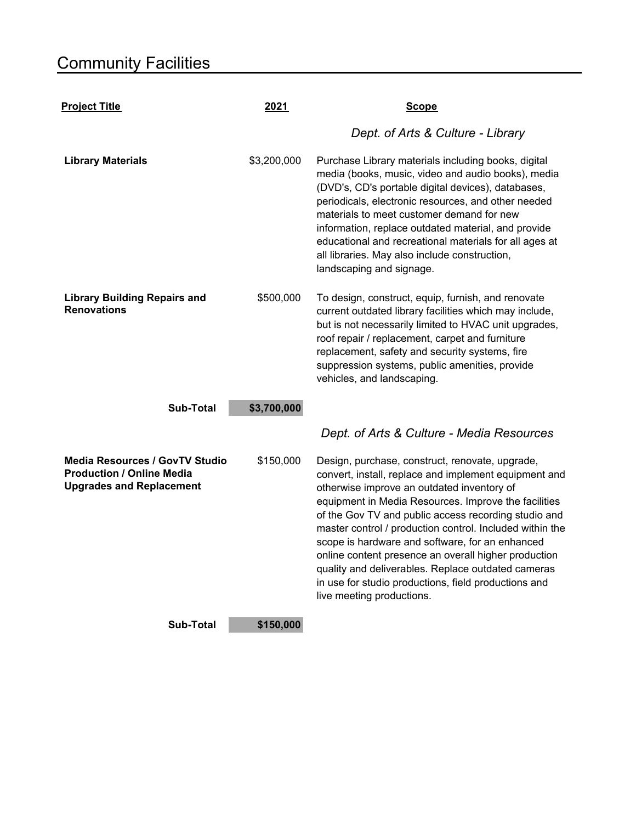| <b>Project Title</b>                                                                                         | 2021                     | <b>Scope</b>                                                                                                                                                                                                                                                                                                                                                                                                                                                                                                                                                                             |
|--------------------------------------------------------------------------------------------------------------|--------------------------|------------------------------------------------------------------------------------------------------------------------------------------------------------------------------------------------------------------------------------------------------------------------------------------------------------------------------------------------------------------------------------------------------------------------------------------------------------------------------------------------------------------------------------------------------------------------------------------|
|                                                                                                              |                          | Dept. of Arts & Culture - Library                                                                                                                                                                                                                                                                                                                                                                                                                                                                                                                                                        |
| <b>Library Materials</b>                                                                                     | \$3,200,000              | Purchase Library materials including books, digital<br>media (books, music, video and audio books), media<br>(DVD's, CD's portable digital devices), databases,<br>periodicals, electronic resources, and other needed<br>materials to meet customer demand for new<br>information, replace outdated material, and provide<br>educational and recreational materials for all ages at<br>all libraries. May also include construction,<br>landscaping and signage.                                                                                                                        |
| <b>Library Building Repairs and</b><br><b>Renovations</b><br><b>Sub-Total</b>                                | \$500,000<br>\$3,700,000 | To design, construct, equip, furnish, and renovate<br>current outdated library facilities which may include,<br>but is not necessarily limited to HVAC unit upgrades,<br>roof repair / replacement, carpet and furniture<br>replacement, safety and security systems, fire<br>suppression systems, public amenities, provide<br>vehicles, and landscaping.                                                                                                                                                                                                                               |
|                                                                                                              |                          | Dept. of Arts & Culture - Media Resources                                                                                                                                                                                                                                                                                                                                                                                                                                                                                                                                                |
| <b>Media Resources / GovTV Studio</b><br><b>Production / Online Media</b><br><b>Upgrades and Replacement</b> | \$150,000                | Design, purchase, construct, renovate, upgrade,<br>convert, install, replace and implement equipment and<br>otherwise improve an outdated inventory of<br>equipment in Media Resources. Improve the facilities<br>of the Gov TV and public access recording studio and<br>master control / production control. Included within the<br>scope is hardware and software, for an enhanced<br>online content presence an overall higher production<br>quality and deliverables. Replace outdated cameras<br>in use for studio productions, field productions and<br>live meeting productions. |
| Sub-Total                                                                                                    | \$150,000                |                                                                                                                                                                                                                                                                                                                                                                                                                                                                                                                                                                                          |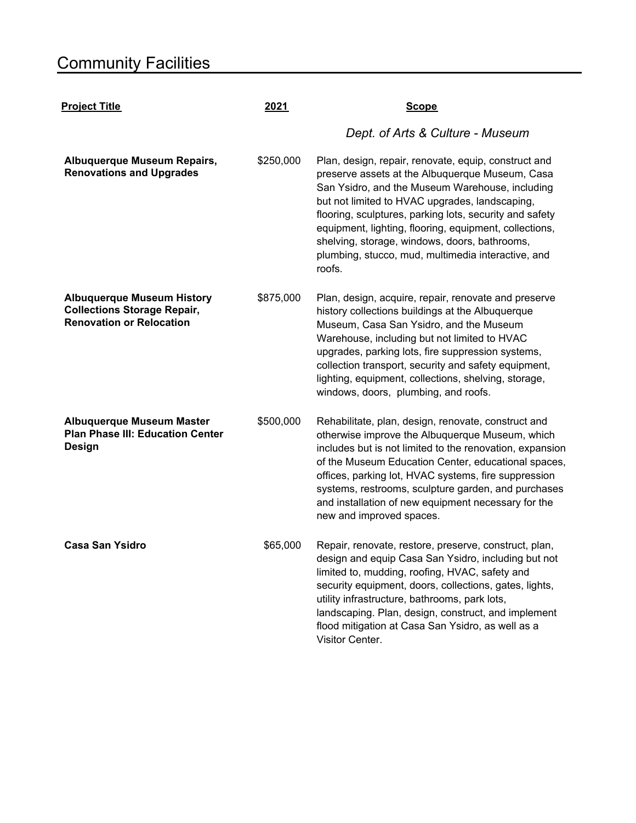| <b>Project Title</b>                                                                                       | 2021      | <b>Scope</b>                                                                                                                                                                                                                                                                                                                                                                                                                                       |  |
|------------------------------------------------------------------------------------------------------------|-----------|----------------------------------------------------------------------------------------------------------------------------------------------------------------------------------------------------------------------------------------------------------------------------------------------------------------------------------------------------------------------------------------------------------------------------------------------------|--|
|                                                                                                            |           | Dept. of Arts & Culture - Museum                                                                                                                                                                                                                                                                                                                                                                                                                   |  |
| Albuquerque Museum Repairs,<br><b>Renovations and Upgrades</b>                                             | \$250,000 | Plan, design, repair, renovate, equip, construct and<br>preserve assets at the Albuquerque Museum, Casa<br>San Ysidro, and the Museum Warehouse, including<br>but not limited to HVAC upgrades, landscaping,<br>flooring, sculptures, parking lots, security and safety<br>equipment, lighting, flooring, equipment, collections,<br>shelving, storage, windows, doors, bathrooms,<br>plumbing, stucco, mud, multimedia interactive, and<br>roofs. |  |
| <b>Albuquerque Museum History</b><br><b>Collections Storage Repair,</b><br><b>Renovation or Relocation</b> | \$875,000 | Plan, design, acquire, repair, renovate and preserve<br>history collections buildings at the Albuquerque<br>Museum, Casa San Ysidro, and the Museum<br>Warehouse, including but not limited to HVAC<br>upgrades, parking lots, fire suppression systems,<br>collection transport, security and safety equipment,<br>lighting, equipment, collections, shelving, storage,<br>windows, doors, plumbing, and roofs.                                   |  |
| <b>Albuquerque Museum Master</b><br><b>Plan Phase III: Education Center</b><br><b>Design</b>               | \$500,000 | Rehabilitate, plan, design, renovate, construct and<br>otherwise improve the Albuquerque Museum, which<br>includes but is not limited to the renovation, expansion<br>of the Museum Education Center, educational spaces,<br>offices, parking lot, HVAC systems, fire suppression<br>systems, restrooms, sculpture garden, and purchases<br>and installation of new equipment necessary for the<br>new and improved spaces.                        |  |
| <b>Casa San Ysidro</b>                                                                                     | \$65,000  | Repair, renovate, restore, preserve, construct, plan,<br>design and equip Casa San Ysidro, including but not<br>limited to, mudding, roofing, HVAC, safety and<br>security equipment, doors, collections, gates, lights,<br>utility infrastructure, bathrooms, park lots,<br>landscaping. Plan, design, construct, and implement<br>flood mitigation at Casa San Ysidro, as well as a<br>Visitor Center.                                           |  |